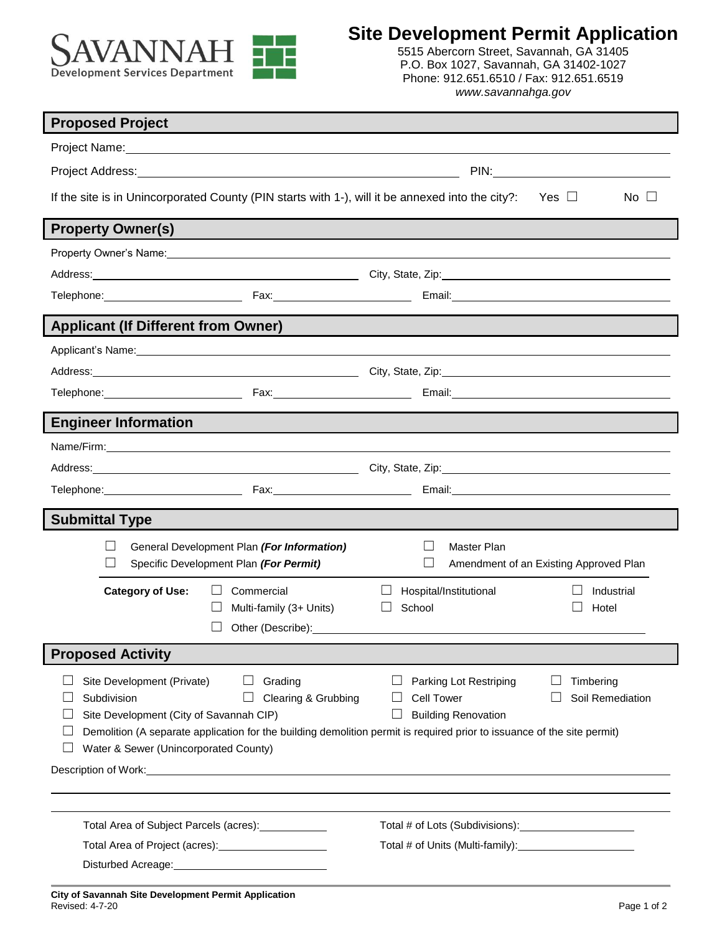

5515 Abercorn Street, Savannah, GA 31405 P.O. Box 1027, Savannah, GA 31402-1027 Phone: 912.651.6510 / Fax: 912.651.6519 *www.savannahga.gov*

٦

| <b>Proposed Project</b>                                                                                                                                                                                                                                                                    |                                                                                                                                                                                                                                                                                          |  |
|--------------------------------------------------------------------------------------------------------------------------------------------------------------------------------------------------------------------------------------------------------------------------------------------|------------------------------------------------------------------------------------------------------------------------------------------------------------------------------------------------------------------------------------------------------------------------------------------|--|
|                                                                                                                                                                                                                                                                                            |                                                                                                                                                                                                                                                                                          |  |
|                                                                                                                                                                                                                                                                                            | <b>PIN:</b> PIN:                                                                                                                                                                                                                                                                         |  |
| If the site is in Unincorporated County (PIN starts with 1-), will it be annexed into the city?: Yes $\Box$                                                                                                                                                                                | $No \Box$                                                                                                                                                                                                                                                                                |  |
| <b>Property Owner(s)</b>                                                                                                                                                                                                                                                                   |                                                                                                                                                                                                                                                                                          |  |
|                                                                                                                                                                                                                                                                                            |                                                                                                                                                                                                                                                                                          |  |
| Address: 2008. 2008. 2012. City, State, Zip: 2008. 2008. 2014. 2014. 2015. 2016. 2017. 2018. 2019. 2014. 2017                                                                                                                                                                              |                                                                                                                                                                                                                                                                                          |  |
|                                                                                                                                                                                                                                                                                            |                                                                                                                                                                                                                                                                                          |  |
| <b>Applicant (If Different from Owner)</b>                                                                                                                                                                                                                                                 |                                                                                                                                                                                                                                                                                          |  |
| Applicant's Name: Note of the Contract of the Contract of the Contract of the Contract of the Contract of the Contract of the Contract of the Contract of the Contract of the Contract of the Contract of the Contract of the                                                              |                                                                                                                                                                                                                                                                                          |  |
| Address: <u>New York: New York: New York: New York: New York: New York: New York: New York: New York: New York: New York: New York: New York: New York: New York: New York: New York: New York: New York: New York: New York: Ne</u>                                                       |                                                                                                                                                                                                                                                                                          |  |
|                                                                                                                                                                                                                                                                                            |                                                                                                                                                                                                                                                                                          |  |
| <b>Engineer Information</b>                                                                                                                                                                                                                                                                |                                                                                                                                                                                                                                                                                          |  |
|                                                                                                                                                                                                                                                                                            |                                                                                                                                                                                                                                                                                          |  |
|                                                                                                                                                                                                                                                                                            |                                                                                                                                                                                                                                                                                          |  |
|                                                                                                                                                                                                                                                                                            |                                                                                                                                                                                                                                                                                          |  |
| <b>Submittal Type</b>                                                                                                                                                                                                                                                                      |                                                                                                                                                                                                                                                                                          |  |
| General Development Plan (For Information)<br>$\Box$<br>Specific Development Plan (For Permit)                                                                                                                                                                                             | <b>Master Plan</b><br>Amendment of an Existing Approved Plan                                                                                                                                                                                                                             |  |
| <b>Category of Use:</b><br>Commercial<br>Multi-family (3+ Units)                                                                                                                                                                                                                           | Hospital/Institutional<br>Industrial<br>School<br>Hotel<br>Other (Describe): Note and the set of the set of the set of the set of the set of the set of the set of the set of the set of the set of the set of the set of the set of the set of the set of the set of the set of the set |  |
| <b>Proposed Activity</b>                                                                                                                                                                                                                                                                   |                                                                                                                                                                                                                                                                                          |  |
| Site Development (Private)<br>Grading<br>Subdivision<br>Clearing & Grubbing<br>Site Development (City of Savannah CIP)<br>Demolition (A separate application for the building demolition permit is required prior to issuance of the site permit)<br>Water & Sewer (Unincorporated County) | Parking Lot Restriping<br>Timbering<br><b>Cell Tower</b><br>Soil Remediation<br><b>Building Renovation</b>                                                                                                                                                                               |  |
| Description of Work: New York: New York: New York: New York: New York: New York: New York: New York: New York: New York: New York: New York: New York: New York: New York: New York: New York: New York: New York: New York: N                                                             |                                                                                                                                                                                                                                                                                          |  |
| Total Area of Subject Parcels (acres): ____________                                                                                                                                                                                                                                        |                                                                                                                                                                                                                                                                                          |  |
| Total Area of Project (acres): [2010] Total Area of Project (acres):                                                                                                                                                                                                                       |                                                                                                                                                                                                                                                                                          |  |
| Disturbed Acreage: National Acreage:                                                                                                                                                                                                                                                       |                                                                                                                                                                                                                                                                                          |  |
|                                                                                                                                                                                                                                                                                            |                                                                                                                                                                                                                                                                                          |  |